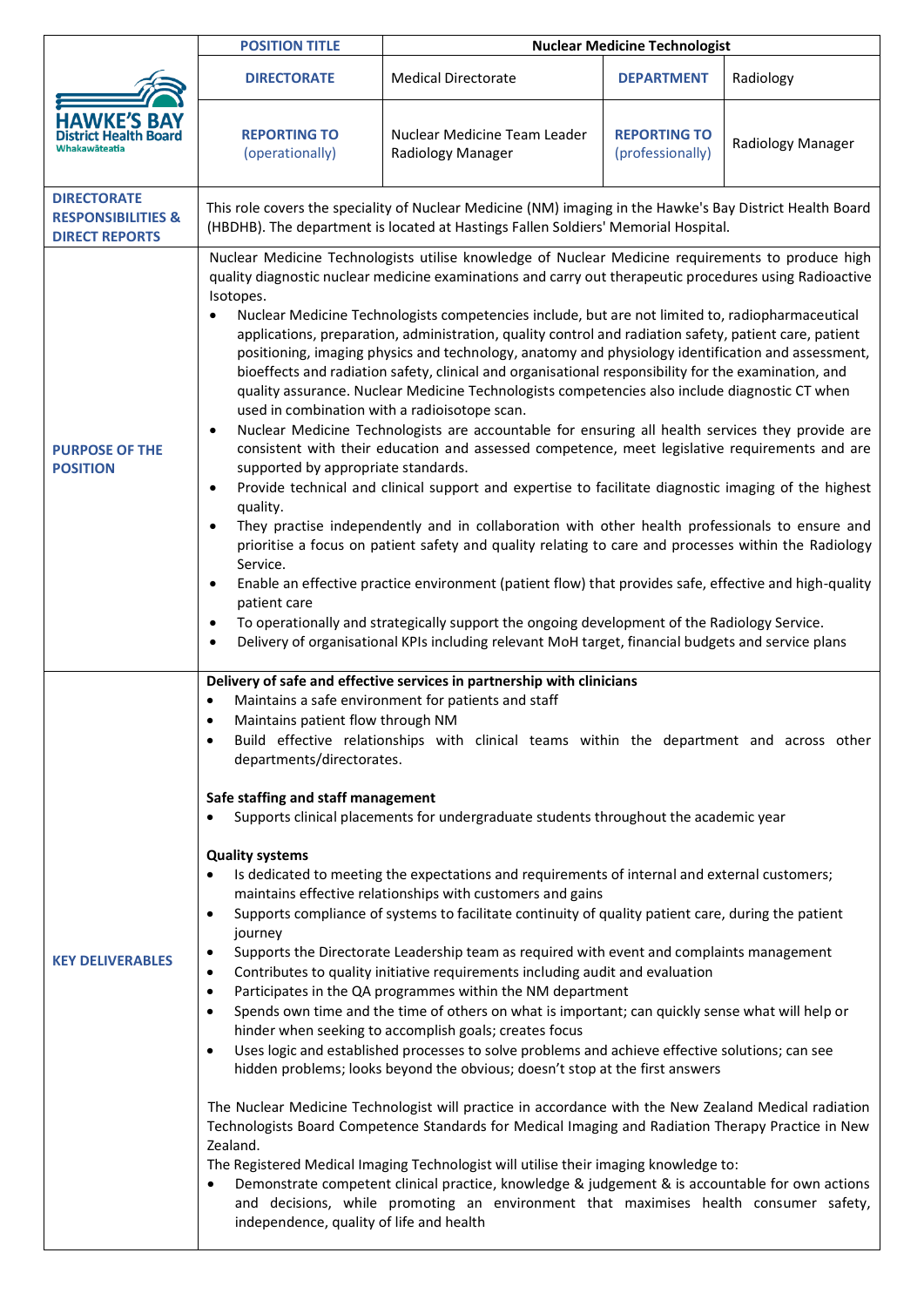|                                                                              | <b>POSITION TITLE</b>                                                                                                                                                                                                                                                                                                                                                                                                                                                                                                                                                                                                                                                                                                                                                                                                                                                                                                                                                                                                                                                                                                                                                                                                                                                                                                                                                                                                                                                                                                                                                                                                                                                                                                                                                                                                                                                                                                             | <b>Nuclear Medicine Technologist</b>              |                                         |                   |
|------------------------------------------------------------------------------|-----------------------------------------------------------------------------------------------------------------------------------------------------------------------------------------------------------------------------------------------------------------------------------------------------------------------------------------------------------------------------------------------------------------------------------------------------------------------------------------------------------------------------------------------------------------------------------------------------------------------------------------------------------------------------------------------------------------------------------------------------------------------------------------------------------------------------------------------------------------------------------------------------------------------------------------------------------------------------------------------------------------------------------------------------------------------------------------------------------------------------------------------------------------------------------------------------------------------------------------------------------------------------------------------------------------------------------------------------------------------------------------------------------------------------------------------------------------------------------------------------------------------------------------------------------------------------------------------------------------------------------------------------------------------------------------------------------------------------------------------------------------------------------------------------------------------------------------------------------------------------------------------------------------------------------|---------------------------------------------------|-----------------------------------------|-------------------|
| <b>HAWKE'S B</b><br>ict Health Board                                         | <b>DIRECTORATE</b>                                                                                                                                                                                                                                                                                                                                                                                                                                                                                                                                                                                                                                                                                                                                                                                                                                                                                                                                                                                                                                                                                                                                                                                                                                                                                                                                                                                                                                                                                                                                                                                                                                                                                                                                                                                                                                                                                                                | <b>Medical Directorate</b>                        | <b>DEPARTMENT</b>                       | Radiology         |
|                                                                              | <b>REPORTING TO</b><br>(operationally)                                                                                                                                                                                                                                                                                                                                                                                                                                                                                                                                                                                                                                                                                                                                                                                                                                                                                                                                                                                                                                                                                                                                                                                                                                                                                                                                                                                                                                                                                                                                                                                                                                                                                                                                                                                                                                                                                            | Nuclear Medicine Team Leader<br>Radiology Manager | <b>REPORTING TO</b><br>(professionally) | Radiology Manager |
| <b>DIRECTORATE</b><br><b>RESPONSIBILITIES &amp;</b><br><b>DIRECT REPORTS</b> | This role covers the speciality of Nuclear Medicine (NM) imaging in the Hawke's Bay District Health Board<br>(HBDHB). The department is located at Hastings Fallen Soldiers' Memorial Hospital.                                                                                                                                                                                                                                                                                                                                                                                                                                                                                                                                                                                                                                                                                                                                                                                                                                                                                                                                                                                                                                                                                                                                                                                                                                                                                                                                                                                                                                                                                                                                                                                                                                                                                                                                   |                                                   |                                         |                   |
| <b>PURPOSE OF THE</b><br><b>POSITION</b>                                     | Nuclear Medicine Technologists utilise knowledge of Nuclear Medicine requirements to produce high<br>quality diagnostic nuclear medicine examinations and carry out therapeutic procedures using Radioactive<br>Isotopes.<br>Nuclear Medicine Technologists competencies include, but are not limited to, radiopharmaceutical<br>applications, preparation, administration, quality control and radiation safety, patient care, patient<br>positioning, imaging physics and technology, anatomy and physiology identification and assessment,<br>bioeffects and radiation safety, clinical and organisational responsibility for the examination, and<br>quality assurance. Nuclear Medicine Technologists competencies also include diagnostic CT when<br>used in combination with a radioisotope scan.<br>Nuclear Medicine Technologists are accountable for ensuring all health services they provide are<br>$\bullet$<br>consistent with their education and assessed competence, meet legislative requirements and are<br>supported by appropriate standards.<br>Provide technical and clinical support and expertise to facilitate diagnostic imaging of the highest<br>$\bullet$<br>quality.<br>They practise independently and in collaboration with other health professionals to ensure and<br>$\bullet$<br>prioritise a focus on patient safety and quality relating to care and processes within the Radiology<br>Service.<br>Enable an effective practice environment (patient flow) that provides safe, effective and high-quality<br>$\bullet$<br>patient care<br>To operationally and strategically support the ongoing development of the Radiology Service.<br>$\bullet$<br>Delivery of organisational KPIs including relevant MoH target, financial budgets and service plans<br>$\bullet$                                                                                                                     |                                                   |                                         |                   |
| <b>KEY DELIVERABLES</b>                                                      | Delivery of safe and effective services in partnership with clinicians<br>Maintains a safe environment for patients and staff<br>Maintains patient flow through NM<br>Build effective relationships with clinical teams within the department and across other<br>departments/directorates.<br>Safe staffing and staff management<br>Supports clinical placements for undergraduate students throughout the academic year<br><b>Quality systems</b><br>Is dedicated to meeting the expectations and requirements of internal and external customers;<br>maintains effective relationships with customers and gains<br>Supports compliance of systems to facilitate continuity of quality patient care, during the patient<br>journey<br>Supports the Directorate Leadership team as required with event and complaints management<br>Contributes to quality initiative requirements including audit and evaluation<br>Participates in the QA programmes within the NM department<br>$\bullet$<br>Spends own time and the time of others on what is important; can quickly sense what will help or<br>$\bullet$<br>hinder when seeking to accomplish goals; creates focus<br>Uses logic and established processes to solve problems and achieve effective solutions; can see<br>$\bullet$<br>hidden problems; looks beyond the obvious; doesn't stop at the first answers<br>The Nuclear Medicine Technologist will practice in accordance with the New Zealand Medical radiation<br>Technologists Board Competence Standards for Medical Imaging and Radiation Therapy Practice in New<br>Zealand.<br>The Registered Medical Imaging Technologist will utilise their imaging knowledge to:<br>Demonstrate competent clinical practice, knowledge & judgement & is accountable for own actions<br>and decisions, while promoting an environment that maximises health consumer safety,<br>independence, quality of life and health |                                                   |                                         |                   |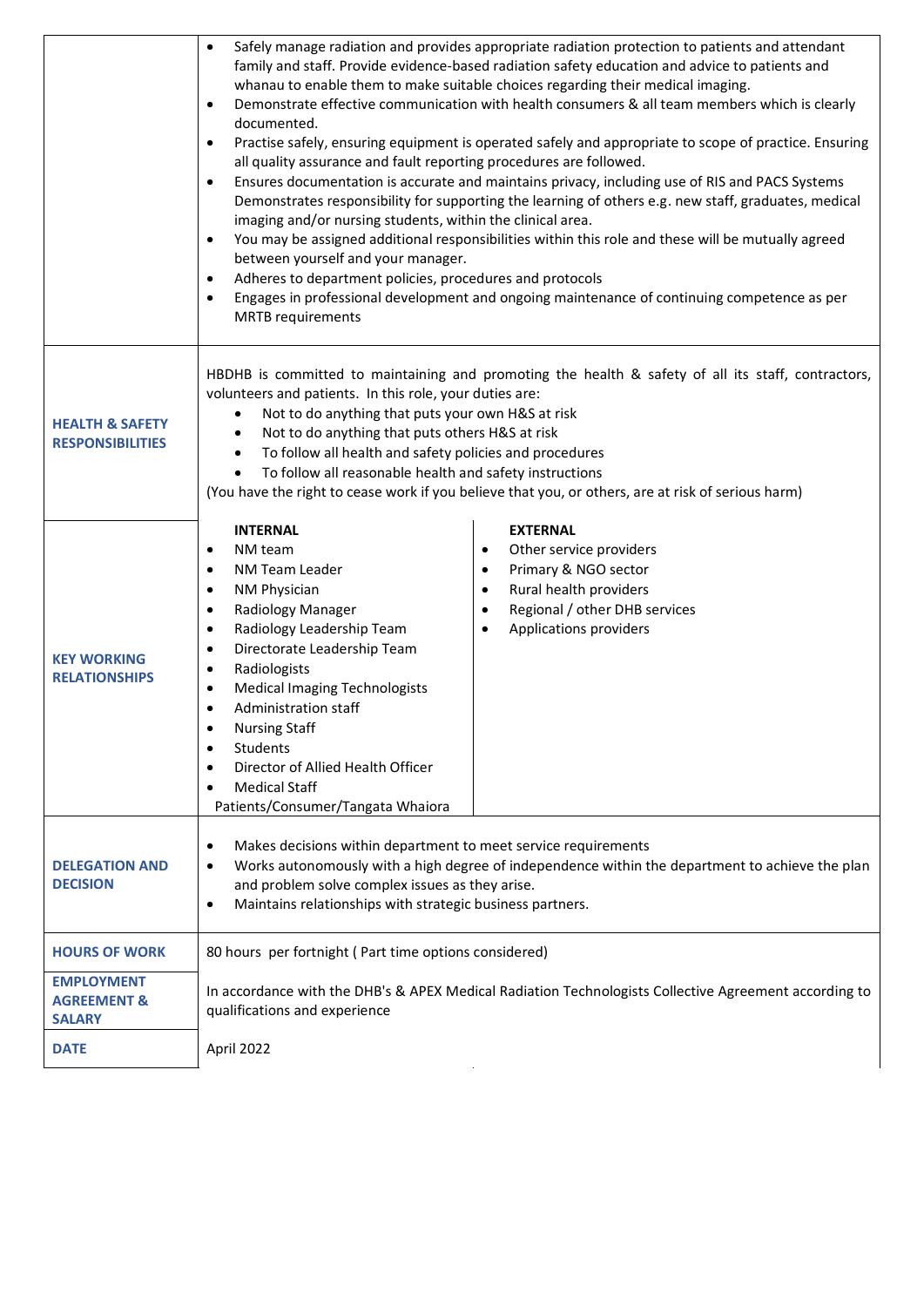|                                                              | Safely manage radiation and provides appropriate radiation protection to patients and attendant<br>$\bullet$<br>family and staff. Provide evidence-based radiation safety education and advice to patients and<br>whanau to enable them to make suitable choices regarding their medical imaging.<br>Demonstrate effective communication with health consumers & all team members which is clearly<br>$\bullet$<br>documented.<br>Practise safely, ensuring equipment is operated safely and appropriate to scope of practice. Ensuring<br>$\bullet$<br>all quality assurance and fault reporting procedures are followed.<br>Ensures documentation is accurate and maintains privacy, including use of RIS and PACS Systems<br>$\bullet$<br>Demonstrates responsibility for supporting the learning of others e.g. new staff, graduates, medical<br>imaging and/or nursing students, within the clinical area.<br>You may be assigned additional responsibilities within this role and these will be mutually agreed<br>between yourself and your manager.<br>Adheres to department policies, procedures and protocols<br>Engages in professional development and ongoing maintenance of continuing competence as per<br>$\bullet$<br><b>MRTB</b> requirements |  |  |  |
|--------------------------------------------------------------|-----------------------------------------------------------------------------------------------------------------------------------------------------------------------------------------------------------------------------------------------------------------------------------------------------------------------------------------------------------------------------------------------------------------------------------------------------------------------------------------------------------------------------------------------------------------------------------------------------------------------------------------------------------------------------------------------------------------------------------------------------------------------------------------------------------------------------------------------------------------------------------------------------------------------------------------------------------------------------------------------------------------------------------------------------------------------------------------------------------------------------------------------------------------------------------------------------------------------------------------------------------------|--|--|--|
| <b>HEALTH &amp; SAFETY</b><br><b>RESPONSIBILITIES</b>        | HBDHB is committed to maintaining and promoting the health & safety of all its staff, contractors,<br>volunteers and patients. In this role, your duties are:<br>Not to do anything that puts your own H&S at risk<br>$\bullet$<br>Not to do anything that puts others H&S at risk<br>$\bullet$<br>To follow all health and safety policies and procedures<br>٠<br>To follow all reasonable health and safety instructions<br>(You have the right to cease work if you believe that you, or others, are at risk of serious harm)                                                                                                                                                                                                                                                                                                                                                                                                                                                                                                                                                                                                                                                                                                                                |  |  |  |
| <b>KEY WORKING</b><br><b>RELATIONSHIPS</b>                   | <b>INTERNAL</b><br><b>EXTERNAL</b><br>NM team<br>Other service providers<br>$\bullet$<br>$\bullet$<br>NM Team Leader<br>Primary & NGO sector<br>$\bullet$<br>$\bullet$<br>Rural health providers<br>NM Physician<br>$\bullet$<br>$\bullet$<br>Regional / other DHB services<br>Radiology Manager<br>$\bullet$<br>$\bullet$<br>Applications providers<br>Radiology Leadership Team<br>$\bullet$<br>$\bullet$<br>Directorate Leadership Team<br>$\bullet$<br>Radiologists<br>٠<br><b>Medical Imaging Technologists</b><br>$\bullet$<br>Administration staff<br>$\bullet$<br><b>Nursing Staff</b><br>$\bullet$<br>Students<br>٠<br>Director of Allied Health Officer<br>$\bullet$<br><b>Medical Staff</b><br>Patients/Consumer/Tangata Whaiora                                                                                                                                                                                                                                                                                                                                                                                                                                                                                                                     |  |  |  |
| <b>DELEGATION AND</b><br><b>DECISION</b>                     | Makes decisions within department to meet service requirements<br>٠<br>Works autonomously with a high degree of independence within the department to achieve the plan<br>٠<br>and problem solve complex issues as they arise.<br>Maintains relationships with strategic business partners.<br>$\bullet$                                                                                                                                                                                                                                                                                                                                                                                                                                                                                                                                                                                                                                                                                                                                                                                                                                                                                                                                                        |  |  |  |
| <b>HOURS OF WORK</b>                                         | 80 hours per fortnight (Part time options considered)                                                                                                                                                                                                                                                                                                                                                                                                                                                                                                                                                                                                                                                                                                                                                                                                                                                                                                                                                                                                                                                                                                                                                                                                           |  |  |  |
| <b>EMPLOYMENT</b><br><b>AGREEMENT &amp;</b><br><b>SALARY</b> | In accordance with the DHB's & APEX Medical Radiation Technologists Collective Agreement according to<br>qualifications and experience                                                                                                                                                                                                                                                                                                                                                                                                                                                                                                                                                                                                                                                                                                                                                                                                                                                                                                                                                                                                                                                                                                                          |  |  |  |
| <b>DATE</b>                                                  | April 2022                                                                                                                                                                                                                                                                                                                                                                                                                                                                                                                                                                                                                                                                                                                                                                                                                                                                                                                                                                                                                                                                                                                                                                                                                                                      |  |  |  |